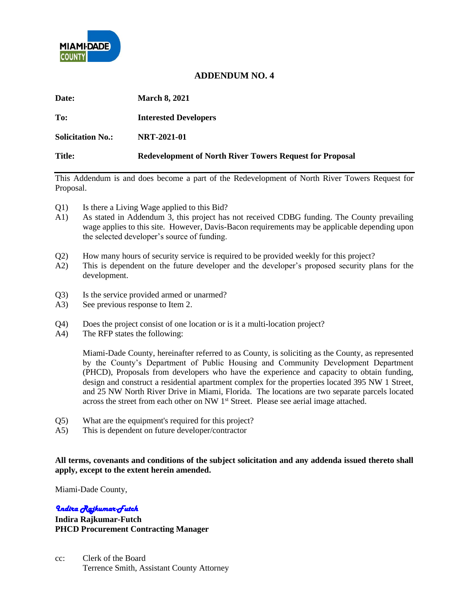

## **ADDENDUM NO. 4**

| <b>Date:</b>             | <b>March 8, 2021</b>                                            |
|--------------------------|-----------------------------------------------------------------|
| To:                      | <b>Interested Developers</b>                                    |
| <b>Solicitation No.:</b> | <b>NRT-2021-01</b>                                              |
| Title:                   | <b>Redevelopment of North River Towers Request for Proposal</b> |

This Addendum is and does become a part of the Redevelopment of North River Towers Request for Proposal.

- Q1) Is there a Living Wage applied to this Bid?
- A1) As stated in Addendum 3, this project has not received CDBG funding. The County prevailing wage applies to this site. However, Davis-Bacon requirements may be applicable depending upon the selected developer's source of funding.
- Q2) How many hours of security service is required to be provided weekly for this project?
- A2) This is dependent on the future developer and the developer's proposed security plans for the development.
- Q3) Is the service provided armed or unarmed?
- A3) See previous response to Item 2.
- Q4) Does the project consist of one location or is it a multi-location project?
- A4) The RFP states the following:

Miami-Dade County, hereinafter referred to as County, is soliciting as the County, as represented by the County's Department of Public Housing and Community Development Department (PHCD), Proposals from developers who have the experience and capacity to obtain funding, design and construct a residential apartment complex for the properties located 395 NW 1 Street, and 25 NW North River Drive in Miami, Florida. The locations are two separate parcels located across the street from each other on NW 1<sup>st</sup> Street. Please see aerial image attached.

- Q5) What are the equipment's required for this project?
- A5) This is dependent on future developer/contractor

## **All terms, covenants and conditions of the subject solicitation and any addenda issued thereto shall apply, except to the extent herein amended.**

Miami-Dade County,

## *Indira Rajkumar-Futch*

**Indira Rajkumar-Futch PHCD Procurement Contracting Manager**

cc: Clerk of the Board Terrence Smith, Assistant County Attorney